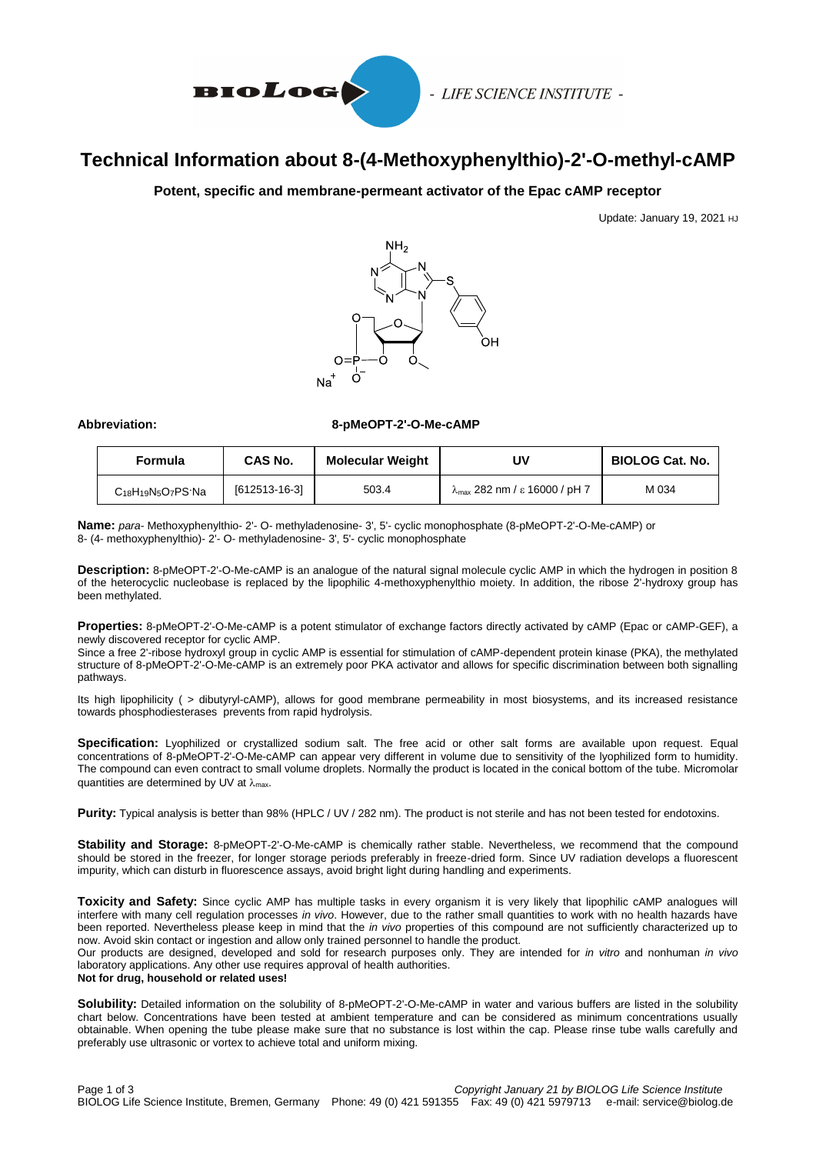

# **Technical Information about 8-(4-Methoxyphenylthio)-2'-O-methyl-cAMP**

### **Potent, specific and membrane-permeant activator of the Epac cAMP receptor**

Update: January 19, 2021 HJ



#### **Abbreviation: 8-pMeOPT-2'-O-Me-cAMP**

| Formula                                                             | CAS No.       | <b>Molecular Weight</b> | J۷                                                         | <b>BIOLOG Cat. No.</b> |
|---------------------------------------------------------------------|---------------|-------------------------|------------------------------------------------------------|------------------------|
| C <sub>18</sub> H <sub>19</sub> N <sub>5</sub> O <sub>7</sub> PS·Na | [612513-16-3] | 503.4                   | $\lambda_{\text{max}}$ 282 nm / $\varepsilon$ 16000 / pH 7 | M 034                  |

**Name:** *para*- Methoxyphenylthio- 2'- O- methyladenosine- 3', 5'- cyclic monophosphate (8-pMeOPT-2'-O-Me-cAMP) or 8- (4- methoxyphenylthio)- 2'- O- methyladenosine- 3', 5'- cyclic monophosphate

**Description:** 8-pMeOPT-2'-O-Me-cAMP is an analogue of the natural signal molecule cyclic AMP in which the hydrogen in position 8 of the heterocyclic nucleobase is replaced by the lipophilic 4-methoxyphenylthio moiety. In addition, the ribose 2'-hydroxy group has been methylated.

**Properties:** 8-pMeOPT-2'-O-Me-cAMP is a potent stimulator of exchange factors directly activated by cAMP (Epac or cAMP-GEF), a newly discovered receptor for cyclic AMP.

Since a free 2'-ribose hydroxyl group in cyclic AMP is essential for stimulation of cAMP-dependent protein kinase (PKA), the methylated structure of 8-pMeOPT-2'-O-Me-cAMP is an extremely poor PKA activator and allows for specific discrimination between both signalling pathways.

Its high lipophilicity ( > dibutyryl-cAMP), allows for good membrane permeability in most biosystems, and its increased resistance towards phosphodiesterases prevents from rapid hydrolysis.

**Specification:** Lyophilized or crystallized sodium salt. The free acid or other salt forms are available upon request. Equal concentrations of 8-pMeOPT-2'-O-Me-cAMP can appear very different in volume due to sensitivity of the lyophilized form to humidity. The compound can even contract to small volume droplets. Normally the product is located in the conical bottom of the tube. Micromolar quantities are determined by UV at  $\lambda_{\text{max}}$ .

Purity: Typical analysis is better than 98% (HPLC / UV / 282 nm). The product is not sterile and has not been tested for endotoxins.

**Stability and Storage:** 8-pMeOPT-2'-O-Me-cAMP is chemically rather stable. Nevertheless, we recommend that the compound should be stored in the freezer, for longer storage periods preferably in freeze-dried form. Since UV radiation develops a fluorescent impurity, which can disturb in fluorescence assays, avoid bright light during handling and experiments.

**Toxicity and Safety:** Since cyclic AMP has multiple tasks in every organism it is very likely that lipophilic cAMP analogues will interfere with many cell regulation processes *in vivo*. However, due to the rather small quantities to work with no health hazards have been reported. Nevertheless please keep in mind that the *in vivo* properties of this compound are not sufficiently characterized up to now. Avoid skin contact or ingestion and allow only trained personnel to handle the product.

Our products are designed, developed and sold for research purposes only. They are intended for *in vitro* and nonhuman *in vivo* laboratory applications. Any other use requires approval of health authorities.

#### **Not for drug, household or related uses!**

**Solubility:** Detailed information on the solubility of 8-pMeOPT-2'-O-Me-cAMP in water and various buffers are listed in the solubility chart below. Concentrations have been tested at ambient temperature and can be considered as minimum concentrations usually obtainable. When opening the tube please make sure that no substance is lost within the cap. Please rinse tube walls carefully and preferably use ultrasonic or vortex to achieve total and uniform mixing.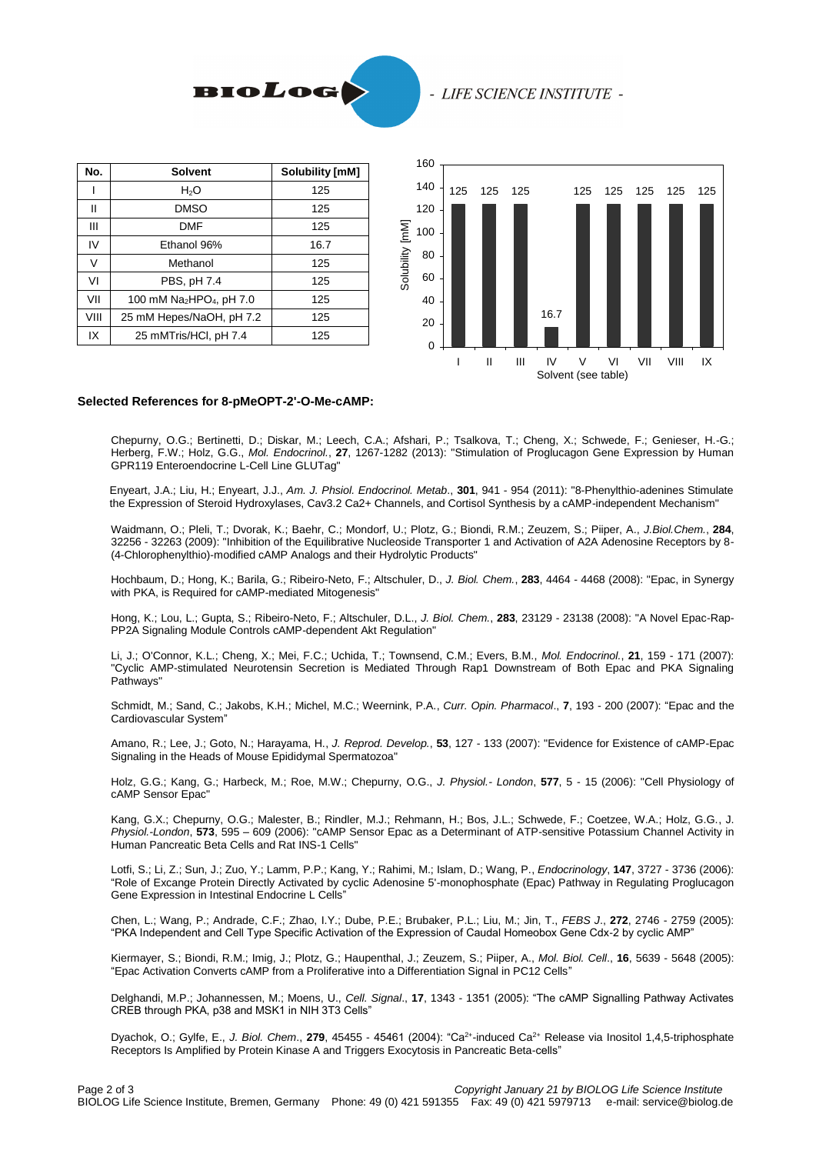

#### - LIFE SCIENCE INSTITUTE -

| No.  | <b>Solvent</b>                                   | <b>Solubility [mM]</b> |
|------|--------------------------------------------------|------------------------|
|      | H <sub>2</sub> O                                 | 125                    |
| Ш    | DMSO                                             | 125                    |
| Ш    | <b>DMF</b>                                       | 125                    |
| IV   | Ethanol 96%                                      | 16.7                   |
| V    | Methanol                                         | 125                    |
| VI   | PBS, pH 7.4                                      | 125                    |
| VII  | 100 mM Na <sub>2</sub> HPO <sub>4</sub> , pH 7.0 | 125                    |
| VIII | 25 mM Hepes/NaOH, pH 7.2                         | 125                    |
| IX   | 25 mMTris/HCl, pH 7.4                            | 125                    |



#### **Selected References for 8-pMeOPT-2'-O-Me-cAMP:**

Chepurny, O.G.; Bertinetti, D.; Diskar, M.; Leech, C.A.; Afshari, P.; Tsalkova, T.; Cheng, X.; Schwede, F.; Genieser, H.-G.; Herberg, F.W.; Holz, G.G., *Mol. Endocrinol.*, **27**, 1267-1282 (2013): "Stimulation of Proglucagon Gene Expression by Human GPR119 Enteroendocrine L-Cell Line GLUTag"

Enyeart, J.A.; Liu, H.; Enyeart, J.J., *Am. J. Phsiol. Endocrinol. Metab*., **301**, 941 - 954 (2011): "8-Phenylthio-adenines Stimulate the Expression of Steroid Hydroxylases, Cav3.2 Ca2+ Channels, and Cortisol Synthesis by a cAMP-independent Mechanism"

Waidmann, O.; Pleli, T.; Dvorak, K.; Baehr, C.; Mondorf, U.; Plotz, G.; Biondi, R.M.; Zeuzem, S.; Piiper, A., *J.Biol.Chem.*, **284**, 32256 - 32263 (2009): "Inhibition of the Equilibrative Nucleoside Transporter 1 and Activation of A2A Adenosine Receptors by 8- (4-Chlorophenylthio)-modified cAMP Analogs and their Hydrolytic Products"

Hochbaum, D.; Hong, K.; Barila, G.; Ribeiro-Neto, F.; Altschuler, D., *J. Biol. Chem.*, **283**, 4464 - 4468 (2008): "Epac, in Synergy with PKA, is Required for cAMP-mediated Mitogenesis"

Hong, K.; Lou, L.; Gupta, S.; Ribeiro-Neto, F.; Altschuler, D.L., *J. Biol. Chem.*, **283**, 23129 - 23138 (2008): "A Novel Epac-Rap-PP2A Signaling Module Controls cAMP-dependent Akt Regulation"

Li, J.; O'Connor, K.L.; Cheng, X.; Mei, F.C.; Uchida, T.; Townsend, C.M.; Evers, B.M., *Mol. Endocrinol.*, **21**, 159 - 171 (2007): "Cyclic AMP-stimulated Neurotensin Secretion is Mediated Through Rap1 Downstream of Both Epac and PKA Signaling Pathways"

Schmidt, M.; Sand, C.; Jakobs, K.H.; Michel, M.C.; Weernink, P.A., *Curr. Opin. Pharmacol*., **7**, 193 - 200 (2007): "Epac and the Cardiovascular System"

Amano, R.; Lee, J.; Goto, N.; Harayama, H., *J. Reprod. Develop.*, **53**, 127 - 133 (2007): "Evidence for Existence of cAMP-Epac Signaling in the Heads of Mouse Epididymal Spermatozoa"

Holz, G.G.; Kang, G.; Harbeck, M.; Roe, M.W.; Chepurny, O.G., *J. Physiol.- London*, **577**, 5 - 15 (2006): "Cell Physiology of cAMP Sensor Epac"

Kang, G.X.; Chepurny, O.G.; Malester, B.; Rindler, M.J.; Rehmann, H.; Bos, J.L.; Schwede, F.; Coetzee, W.A.; Holz, G.G., J. *Physiol.-London*, **573**, 595 – 609 (2006): "cAMP Sensor Epac as a Determinant of ATP-sensitive Potassium Channel Activity in Human Pancreatic Beta Cells and Rat INS-1 Cells"

Lotfi, S.; Li, Z.; Sun, J.; Zuo, Y.; Lamm, P.P.; Kang, Y.; Rahimi, M.; Islam, D.; Wang, P., *Endocrinology*, **147**, 3727 - 3736 (2006): "Role of Excange Protein Directly Activated by cyclic Adenosine 5'-monophosphate (Epac) Pathway in Regulating Proglucagon Gene Expression in Intestinal Endocrine L Cells"

Chen, L.; Wang, P.; Andrade, C.F.; Zhao, I.Y.; Dube, P.E.; Brubaker, P.L.; Liu, M.; Jin, T., *FEBS J*., **272**, 2746 - 2759 (2005): "PKA Independent and Cell Type Specific Activation of the Expression of Caudal Homeobox Gene Cdx-2 by cyclic AMP"

Kiermayer, S.; Biondi, R.M.; Imig, J.; Plotz, G.; Haupenthal, J.; Zeuzem, S.; Piiper, A., *Mol. Biol. Cell*., **16**, 5639 - 5648 (2005): "Epac Activation Converts cAMP from a Proliferative into a Differentiation Signal in PC12 Cells"

Delghandi, M.P.; Johannessen, M.; Moens, U., *Cell. Signal*., **17**, 1343 - 1351 (2005): "The cAMP Signalling Pathway Activates CREB through PKA, p38 and MSK1 in NIH 3T3 Cells"

Dyachok, O.; Gylfe, E., J. Biol. Chem., 279, 45455 - 45461 (2004): "Ca<sup>2+</sup>-induced Ca<sup>2+</sup> Release via Inositol 1,4,5-triphosphate Receptors Is Amplified by Protein Kinase A and Triggers Exocytosis in Pancreatic Beta-cells"